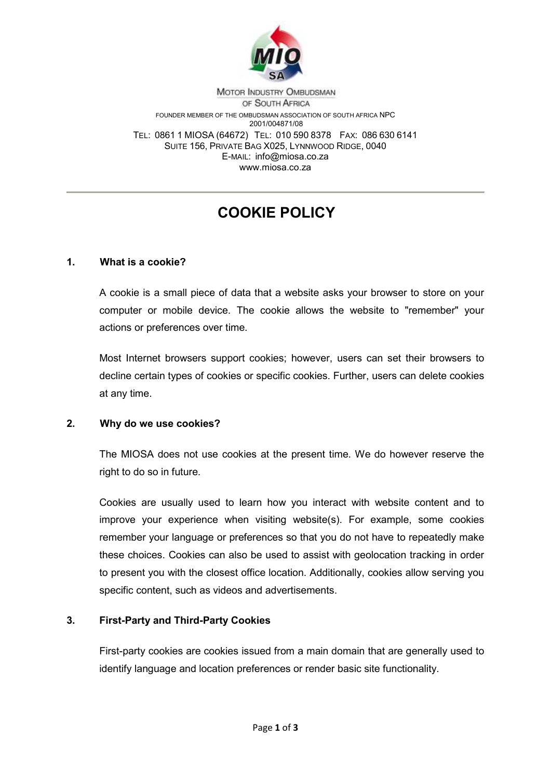

MOTOR INDUSTRY OMBUDSMAN OF SOUTH AFRICA FOUNDER MEMBER OF THE OMBUDSMAN ASSOCIATION OF SOUTH AFRICA NPC 2001/004871/08 TEL: 0861 1 MIOSA (64672) TEL: 010 590 8378 FAX: 086 630 6141 SUITE 156, PRIVATE BAG X025, LYNNWOOD RIDGE, 0040 E-MAIL: info@miosa.co.za www.miosa.co.za

# **COOKIE POLICY**

#### **1. What is a cookie?**

A cookie is a small piece of data that a website asks your browser to store on your computer or mobile device. The cookie allows the website to "remember" your actions or preferences over time.

Most Internet browsers support cookies; however, users can set their browsers to decline certain types of cookies or specific cookies. Further, users can delete cookies at any time.

#### **2. Why do we use cookies?**

The MIOSA does not use cookies at the present time. We do however reserve the right to do so in future.

Cookies are usually used to learn how you interact with website content and to improve your experience when visiting website(s). For example, some cookies remember your language or preferences so that you do not have to repeatedly make these choices. Cookies can also be used to assist with geolocation tracking in order to present you with the closest office location. Additionally, cookies allow serving you specific content, such as videos and advertisements.

#### **3. First-Party and Third-Party Cookies**

First-party cookies are cookies issued from a main domain that are generally used to identify language and location preferences or render basic site functionality.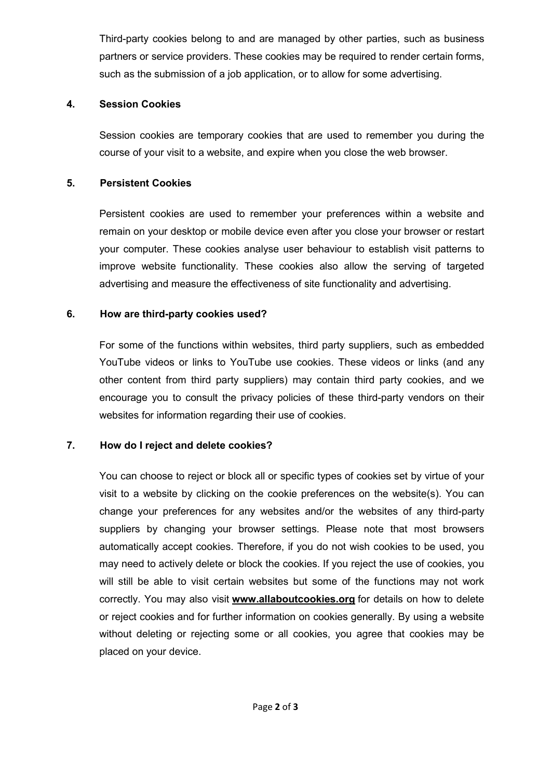Third-party cookies belong to and are managed by other parties, such as business partners or service providers. These cookies may be required to render certain forms, such as the submission of a job application, or to allow for some advertising.

### **4. Session Cookies**

Session cookies are temporary cookies that are used to remember you during the course of your visit to a website, and expire when you close the web browser.

### **5. Persistent Cookies**

Persistent cookies are used to remember your preferences within a website and remain on your desktop or mobile device even after you close your browser or restart your computer. These cookies analyse user behaviour to establish visit patterns to improve website functionality. These cookies also allow the serving of targeted advertising and measure the effectiveness of site functionality and advertising.

## **6. How are third-party cookies used?**

For some of the functions within websites, third party suppliers, such as embedded YouTube videos or links to YouTube use cookies. These videos or links (and any other content from third party suppliers) may contain third party cookies, and we encourage you to consult the privacy policies of these third-party vendors on their websites for information regarding their use of cookies.

## **7. How do I reject and delete cookies?**

You can choose to reject or block all or specific types of cookies set by virtue of your visit to a website by clicking on the cookie preferences on the website(s). You can change your preferences for any websites and/or the websites of any third-party suppliers by changing your browser settings. Please note that most browsers automatically accept cookies. Therefore, if you do not wish cookies to be used, you may need to actively delete or block the cookies. If you reject the use of cookies, you will still be able to visit certain websites but some of the functions may not work correctly. You may also visit **www.allaboutcookies.org** for details on how to delete or reject cookies and for further information on cookies generally. By using a website without deleting or rejecting some or all cookies, you agree that cookies may be placed on your device.